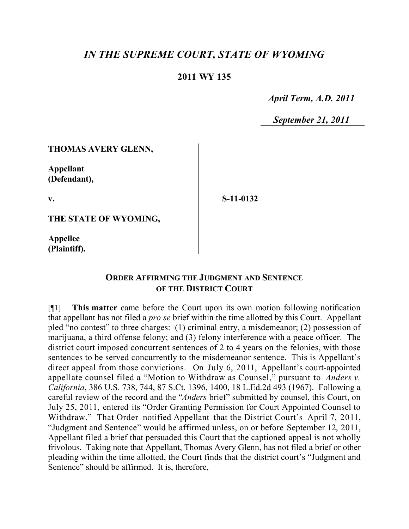# *IN THE SUPREME COURT, STATE OF WYOMING*

### **2011 WY 135**

 *April Term, A.D. 2011*

 *September 21, 2011*

#### **THOMAS AVERY GLENN,**

**Appellant (Defendant),**

**v.**

**S-11-0132**

**THE STATE OF WYOMING,**

**Appellee (Plaintiff).**

## **ORDER AFFIRMING THE JUDGMENT AND SENTENCE OF THE DISTRICT COURT**

[¶1] **This matter** came before the Court upon its own motion following notification that appellant has not filed a *pro se* brief within the time allotted by this Court. Appellant pled "no contest" to three charges: (1) criminal entry, a misdemeanor; (2) possession of marijuana, a third offense felony; and (3) felony interference with a peace officer. The district court imposed concurrent sentences of 2 to 4 years on the felonies, with those sentences to be served concurrently to the misdemeanor sentence. This is Appellant's direct appeal from those convictions. On July 6, 2011, Appellant's court-appointed appellate counsel filed a "Motion to Withdraw as Counsel," pursuant to *Anders v. California*, 386 U.S. 738, 744, 87 S.Ct. 1396, 1400, 18 L.Ed.2d 493 (1967). Following a careful review of the record and the "*Anders* brief" submitted by counsel, this Court, on July 25, 2011, entered its "Order Granting Permission for Court Appointed Counsel to Withdraw." That Order notified Appellant that the District Court's April 7, 2011, "Judgment and Sentence" would be affirmed unless, on or before September 12, 2011, Appellant filed a brief that persuaded this Court that the captioned appeal is not wholly frivolous. Taking note that Appellant, Thomas Avery Glenn, has not filed a brief or other pleading within the time allotted, the Court finds that the district court's "Judgment and Sentence" should be affirmed. It is, therefore,